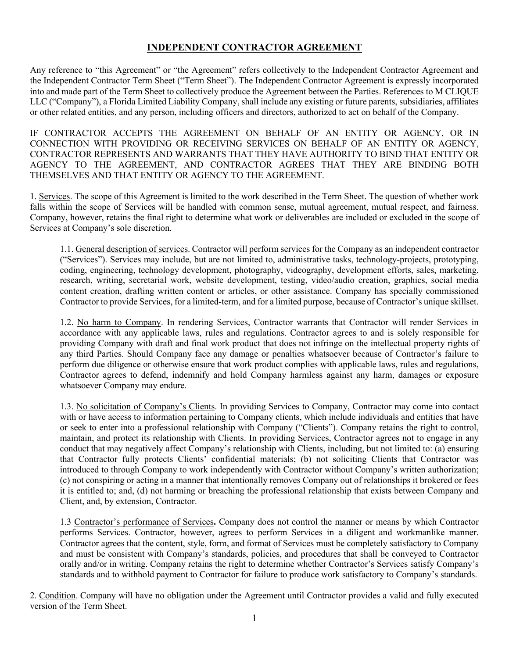## **INDEPENDENT CONTRACTOR AGREEMENT**

Any reference to "this Agreement" or "the Agreement" refers collectively to the Independent Contractor Agreement and the Independent Contractor Term Sheet ("Term Sheet"). The Independent Contractor Agreement is expressly incorporated into and made part of the Term Sheet to collectively produce the Agreement between the Parties. References to M CLIQUE LLC ("Company"), a Florida Limited Liability Company, shall include any existing or future parents, subsidiaries, affiliates or other related entities, and any person, including officers and directors, authorized to act on behalf of the Company.

IF CONTRACTOR ACCEPTS THE AGREEMENT ON BEHALF OF AN ENTITY OR AGENCY, OR IN CONNECTION WITH PROVIDING OR RECEIVING SERVICES ON BEHALF OF AN ENTITY OR AGENCY, CONTRACTOR REPRESENTS AND WARRANTS THAT THEY HAVE AUTHORITY TO BIND THAT ENTITY OR AGENCY TO THE AGREEMENT, AND CONTRACTOR AGREES THAT THEY ARE BINDING BOTH THEMSELVES AND THAT ENTITY OR AGENCY TO THE AGREEMENT.

1. Services. The scope of this Agreement is limited to the work described in the Term Sheet. The question of whether work falls within the scope of Services will be handled with common sense, mutual agreement, mutual respect, and fairness. Company, however, retains the final right to determine what work or deliverables are included or excluded in the scope of Services at Company's sole discretion.

1.1. General description of services. Contractor will perform services for the Company as an independent contractor ("Services"). Services may include, but are not limited to, administrative tasks, technology-projects, prototyping, coding, engineering, technology development, photography, videography, development efforts, sales, marketing, research, writing, secretarial work, website development, testing, video/audio creation, graphics, social media content creation, drafting written content or articles, or other assistance. Company has specially commissioned Contractor to provide Services, for a limited-term, and for a limited purpose, because of Contractor's unique skillset.

1.2. No harm to Company. In rendering Services, Contractor warrants that Contractor will render Services in accordance with any applicable laws, rules and regulations. Contractor agrees to and is solely responsible for providing Company with draft and final work product that does not infringe on the intellectual property rights of any third Parties. Should Company face any damage or penalties whatsoever because of Contractor's failure to perform due diligence or otherwise ensure that work product complies with applicable laws, rules and regulations, Contractor agrees to defend, indemnify and hold Company harmless against any harm, damages or exposure whatsoever Company may endure.

1.3. No solicitation of Company's Clients. In providing Services to Company, Contractor may come into contact with or have access to information pertaining to Company clients, which include individuals and entities that have or seek to enter into a professional relationship with Company ("Clients"). Company retains the right to control, maintain, and protect its relationship with Clients. In providing Services, Contractor agrees not to engage in any conduct that may negatively affect Company's relationship with Clients, including, but not limited to: (a) ensuring that Contractor fully protects Clients' confidential materials; (b) not soliciting Clients that Contractor was introduced to through Company to work independently with Contractor without Company's written authorization; (c) not conspiring or acting in a manner that intentionally removes Company out of relationships it brokered or fees it is entitled to; and, (d) not harming or breaching the professional relationship that exists between Company and Client, and, by extension, Contractor.

1.3 Contractor's performance of Services**.** Company does not control the manner or means by which Contractor performs Services. Contractor, however, agrees to perform Services in a diligent and workmanlike manner. Contractor agrees that the content, style, form, and format of Services must be completely satisfactory to Company and must be consistent with Company's standards, policies, and procedures that shall be conveyed to Contractor orally and/or in writing. Company retains the right to determine whether Contractor's Services satisfy Company's standards and to withhold payment to Contractor for failure to produce work satisfactory to Company's standards.

2. Condition. Company will have no obligation under the Agreement until Contractor provides a valid and fully executed version of the Term Sheet.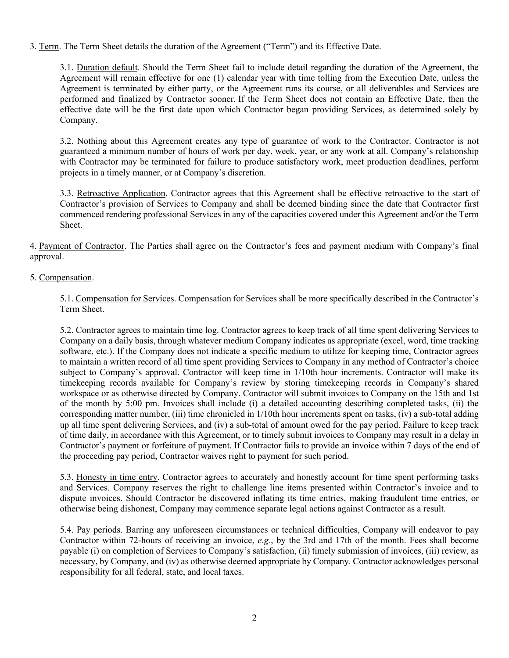3. Term. The Term Sheet details the duration of the Agreement ("Term") and its Effective Date.

3.1. Duration default. Should the Term Sheet fail to include detail regarding the duration of the Agreement, the Agreement will remain effective for one (1) calendar year with time tolling from the Execution Date, unless the Agreement is terminated by either party, or the Agreement runs its course, or all deliverables and Services are performed and finalized by Contractor sooner. If the Term Sheet does not contain an Effective Date, then the effective date will be the first date upon which Contractor began providing Services, as determined solely by Company.

3.2. Nothing about this Agreement creates any type of guarantee of work to the Contractor. Contractor is not guaranteed a minimum number of hours of work per day, week, year, or any work at all. Company's relationship with Contractor may be terminated for failure to produce satisfactory work, meet production deadlines, perform projects in a timely manner, or at Company's discretion.

3.3. Retroactive Application. Contractor agrees that this Agreement shall be effective retroactive to the start of Contractor's provision of Services to Company and shall be deemed binding since the date that Contractor first commenced rendering professional Services in any of the capacities covered under this Agreement and/or the Term Sheet.

4. Payment of Contractor. The Parties shall agree on the Contractor's fees and payment medium with Company's final approval.

## 5. Compensation.

5.1. Compensation for Services. Compensation for Services shall be more specifically described in the Contractor's Term Sheet.

5.2. Contractor agrees to maintain time log. Contractor agrees to keep track of all time spent delivering Services to Company on a daily basis, through whatever medium Company indicates as appropriate (excel, word, time tracking software, etc.). If the Company does not indicate a specific medium to utilize for keeping time, Contractor agrees to maintain a written record of all time spent providing Services to Company in any method of Contractor's choice subject to Company's approval. Contractor will keep time in 1/10th hour increments. Contractor will make its timekeeping records available for Company's review by storing timekeeping records in Company's shared workspace or as otherwise directed by Company. Contractor will submit invoices to Company on the 15th and 1st of the month by 5:00 pm. Invoices shall include (i) a detailed accounting describing completed tasks, (ii) the corresponding matter number, (iii) time chronicled in 1/10th hour increments spent on tasks, (iv) a sub-total adding up all time spent delivering Services, and (iv) a sub-total of amount owed for the pay period. Failure to keep track of time daily, in accordance with this Agreement, or to timely submit invoices to Company may result in a delay in Contractor's payment or forfeiture of payment. If Contractor fails to provide an invoice within 7 days of the end of the proceeding pay period, Contractor waives right to payment for such period.

5.3. Honesty in time entry. Contractor agrees to accurately and honestly account for time spent performing tasks and Services. Company reserves the right to challenge line items presented within Contractor's invoice and to dispute invoices. Should Contractor be discovered inflating its time entries, making fraudulent time entries, or otherwise being dishonest, Company may commence separate legal actions against Contractor as a result.

5.4. Pay periods. Barring any unforeseen circumstances or technical difficulties, Company will endeavor to pay Contractor within 72-hours of receiving an invoice, *e.g.*, by the 3rd and 17th of the month. Fees shall become payable (i) on completion of Services to Company's satisfaction, (ii) timely submission of invoices, (iii) review, as necessary, by Company, and (iv) as otherwise deemed appropriate by Company. Contractor acknowledges personal responsibility for all federal, state, and local taxes.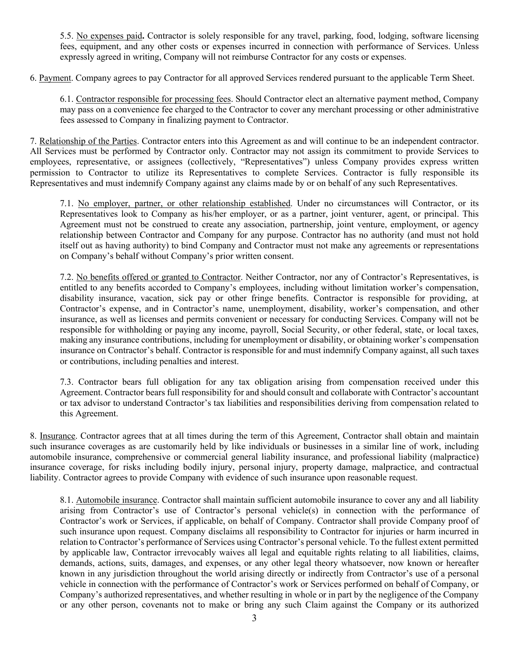5.5. No expenses paid**.** Contractor is solely responsible for any travel, parking, food, lodging, software licensing fees, equipment, and any other costs or expenses incurred in connection with performance of Services. Unless expressly agreed in writing, Company will not reimburse Contractor for any costs or expenses.

6. Payment. Company agrees to pay Contractor for all approved Services rendered pursuant to the applicable Term Sheet.

6.1. Contractor responsible for processing fees. Should Contractor elect an alternative payment method, Company may pass on a convenience fee charged to the Contractor to cover any merchant processing or other administrative fees assessed to Company in finalizing payment to Contractor.

7. Relationship of the Parties. Contractor enters into this Agreement as and will continue to be an independent contractor. All Services must be performed by Contractor only. Contractor may not assign its commitment to provide Services to employees, representative, or assignees (collectively, "Representatives") unless Company provides express written permission to Contractor to utilize its Representatives to complete Services. Contractor is fully responsible its Representatives and must indemnify Company against any claims made by or on behalf of any such Representatives.

7.1. No employer, partner, or other relationship established. Under no circumstances will Contractor, or its Representatives look to Company as his/her employer, or as a partner, joint venturer, agent, or principal. This Agreement must not be construed to create any association, partnership, joint venture, employment, or agency relationship between Contractor and Company for any purpose. Contractor has no authority (and must not hold itself out as having authority) to bind Company and Contractor must not make any agreements or representations on Company's behalf without Company's prior written consent.

7.2. No benefits offered or granted to Contractor. Neither Contractor, nor any of Contractor's Representatives, is entitled to any benefits accorded to Company's employees, including without limitation worker's compensation, disability insurance, vacation, sick pay or other fringe benefits. Contractor is responsible for providing, at Contractor's expense, and in Contractor's name, unemployment, disability, worker's compensation, and other insurance, as well as licenses and permits convenient or necessary for conducting Services. Company will not be responsible for withholding or paying any income, payroll, Social Security, or other federal, state, or local taxes, making any insurance contributions, including for unemployment or disability, or obtaining worker's compensation insurance on Contractor's behalf. Contractor is responsible for and must indemnify Company against, all such taxes or contributions, including penalties and interest.

7.3. Contractor bears full obligation for any tax obligation arising from compensation received under this Agreement. Contractor bears full responsibility for and should consult and collaborate with Contractor's accountant or tax advisor to understand Contractor's tax liabilities and responsibilities deriving from compensation related to this Agreement.

8. Insurance. Contractor agrees that at all times during the term of this Agreement, Contractor shall obtain and maintain such insurance coverages as are customarily held by like individuals or businesses in a similar line of work, including automobile insurance, comprehensive or commercial general liability insurance, and professional liability (malpractice) insurance coverage, for risks including bodily injury, personal injury, property damage, malpractice, and contractual liability. Contractor agrees to provide Company with evidence of such insurance upon reasonable request.

8.1. Automobile insurance. Contractor shall maintain sufficient automobile insurance to cover any and all liability arising from Contractor's use of Contractor's personal vehicle(s) in connection with the performance of Contractor's work or Services, if applicable, on behalf of Company. Contractor shall provide Company proof of such insurance upon request. Company disclaims all responsibility to Contractor for injuries or harm incurred in relation to Contractor's performance of Services using Contractor's personal vehicle. To the fullest extent permitted by applicable law, Contractor irrevocably waives all legal and equitable rights relating to all liabilities, claims, demands, actions, suits, damages, and expenses, or any other legal theory whatsoever, now known or hereafter known in any jurisdiction throughout the world arising directly or indirectly from Contractor's use of a personal vehicle in connection with the performance of Contractor's work or Services performed on behalf of Company, or Company's authorized representatives, and whether resulting in whole or in part by the negligence of the Company or any other person, covenants not to make or bring any such Claim against the Company or its authorized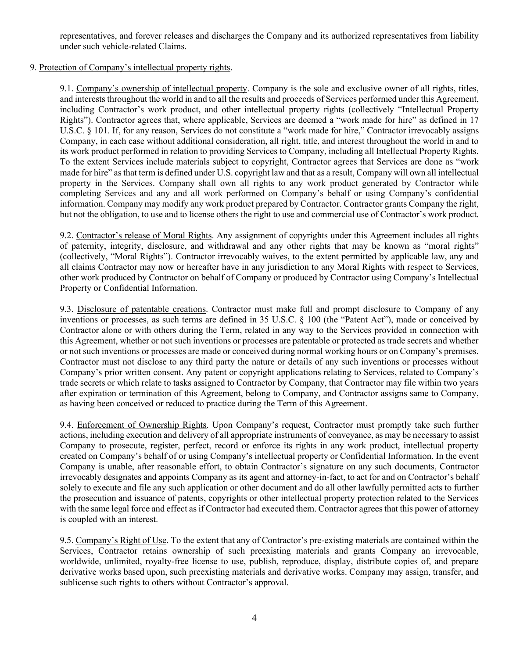representatives, and forever releases and discharges the Company and its authorized representatives from liability under such vehicle-related Claims.

## 9. Protection of Company's intellectual property rights.

9.1. Company's ownership of intellectual property. Company is the sole and exclusive owner of all rights, titles, and intereststhroughout the world in and to all the results and proceeds of Services performed under this Agreement, including Contractor's work product, and other intellectual property rights (collectively "Intellectual Property Rights"). Contractor agrees that, where applicable, Services are deemed a "work made for hire" as defined in 17 U.S.C. § 101. If, for any reason, Services do not constitute a "work made for hire," Contractor irrevocably assigns Company, in each case without additional consideration, all right, title, and interest throughout the world in and to its work product performed in relation to providing Services to Company, including all Intellectual Property Rights. To the extent Services include materials subject to copyright, Contractor agrees that Services are done as "work made for hire" as that term is defined under U.S. copyright law and that as a result, Company will own all intellectual property in the Services. Company shall own all rights to any work product generated by Contractor while completing Services and any and all work performed on Company's behalf or using Company's confidential information. Company may modify any work product prepared by Contractor. Contractor grants Company the right, but not the obligation, to use and to license others the right to use and commercial use of Contractor's work product.

9.2. Contractor's release of Moral Rights. Any assignment of copyrights under this Agreement includes all rights of paternity, integrity, disclosure, and withdrawal and any other rights that may be known as "moral rights" (collectively, "Moral Rights"). Contractor irrevocably waives, to the extent permitted by applicable law, any and all claims Contractor may now or hereafter have in any jurisdiction to any Moral Rights with respect to Services, other work produced by Contractor on behalf of Company or produced by Contractor using Company's Intellectual Property or Confidential Information.

9.3. Disclosure of patentable creations. Contractor must make full and prompt disclosure to Company of any inventions or processes, as such terms are defined in 35 U.S.C. § 100 (the "Patent Act"), made or conceived by Contractor alone or with others during the Term, related in any way to the Services provided in connection with this Agreement, whether or not such inventions or processes are patentable or protected as trade secrets and whether or not such inventions or processes are made or conceived during normal working hours or on Company's premises. Contractor must not disclose to any third party the nature or details of any such inventions or processes without Company's prior written consent. Any patent or copyright applications relating to Services, related to Company's trade secrets or which relate to tasks assigned to Contractor by Company, that Contractor may file within two years after expiration or termination of this Agreement, belong to Company, and Contractor assigns same to Company, as having been conceived or reduced to practice during the Term of this Agreement.

9.4. Enforcement of Ownership Rights. Upon Company's request, Contractor must promptly take such further actions, including execution and delivery of all appropriate instruments of conveyance, as may be necessary to assist Company to prosecute, register, perfect, record or enforce its rights in any work product, intellectual property created on Company's behalf of or using Company's intellectual property or Confidential Information. In the event Company is unable, after reasonable effort, to obtain Contractor's signature on any such documents, Contractor irrevocably designates and appoints Company as its agent and attorney-in-fact, to act for and on Contractor's behalf solely to execute and file any such application or other document and do all other lawfully permitted acts to further the prosecution and issuance of patents, copyrights or other intellectual property protection related to the Services with the same legal force and effect as if Contractor had executed them. Contractor agrees that this power of attorney is coupled with an interest.

9.5. Company's Right of Use. To the extent that any of Contractor's pre-existing materials are contained within the Services, Contractor retains ownership of such preexisting materials and grants Company an irrevocable, worldwide, unlimited, royalty-free license to use, publish, reproduce, display, distribute copies of, and prepare derivative works based upon, such preexisting materials and derivative works. Company may assign, transfer, and sublicense such rights to others without Contractor's approval.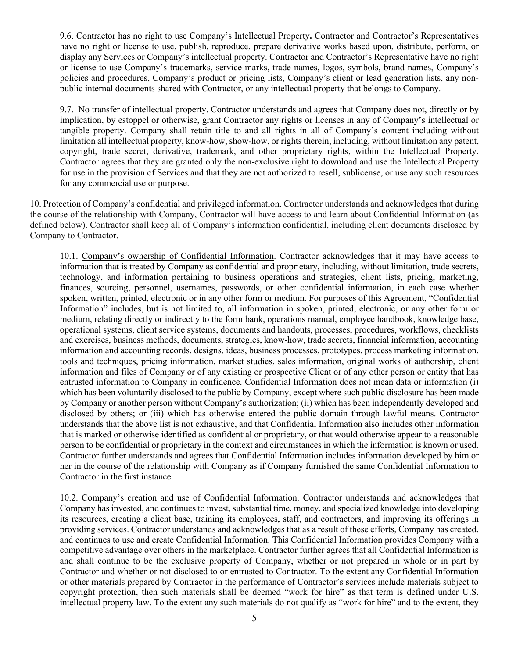9.6. Contractor has no right to use Company's Intellectual Property**.** Contractor and Contractor's Representatives have no right or license to use, publish, reproduce, prepare derivative works based upon, distribute, perform, or display any Services or Company's intellectual property. Contractor and Contractor's Representative have no right or license to use Company's trademarks, service marks, trade names, logos, symbols, brand names, Company's policies and procedures, Company's product or pricing lists, Company's client or lead generation lists, any nonpublic internal documents shared with Contractor, or any intellectual property that belongs to Company.

9.7. No transfer of intellectual property. Contractor understands and agrees that Company does not, directly or by implication, by estoppel or otherwise, grant Contractor any rights or licenses in any of Company's intellectual or tangible property. Company shall retain title to and all rights in all of Company's content including without limitation all intellectual property, know-how, show-how, or rights therein, including, without limitation any patent, copyright, trade secret, derivative, trademark, and other proprietary rights, within the Intellectual Property. Contractor agrees that they are granted only the non-exclusive right to download and use the Intellectual Property for use in the provision of Services and that they are not authorized to resell, sublicense, or use any such resources for any commercial use or purpose.

10. Protection of Company's confidential and privileged information. Contractor understands and acknowledges that during the course of the relationship with Company, Contractor will have access to and learn about Confidential Information (as defined below). Contractor shall keep all of Company's information confidential, including client documents disclosed by Company to Contractor.

10.1. Company's ownership of Confidential Information. Contractor acknowledges that it may have access to information that is treated by Company as confidential and proprietary, including, without limitation, trade secrets, technology, and information pertaining to business operations and strategies, client lists, pricing, marketing, finances, sourcing, personnel, usernames, passwords, or other confidential information, in each case whether spoken, written, printed, electronic or in any other form or medium. For purposes of this Agreement, "Confidential Information" includes, but is not limited to, all information in spoken, printed, electronic, or any other form or medium, relating directly or indirectly to the form bank, operations manual, employee handbook, knowledge base, operational systems, client service systems, documents and handouts, processes, procedures, workflows, checklists and exercises, business methods, documents, strategies, know-how, trade secrets, financial information, accounting information and accounting records, designs, ideas, business processes, prototypes, process marketing information, tools and techniques, pricing information, market studies, sales information, original works of authorship, client information and files of Company or of any existing or prospective Client or of any other person or entity that has entrusted information to Company in confidence. Confidential Information does not mean data or information (i) which has been voluntarily disclosed to the public by Company, except where such public disclosure has been made by Company or another person without Company's authorization; (ii) which has been independently developed and disclosed by others; or (iii) which has otherwise entered the public domain through lawful means. Contractor understands that the above list is not exhaustive, and that Confidential Information also includes other information that is marked or otherwise identified as confidential or proprietary, or that would otherwise appear to a reasonable person to be confidential or proprietary in the context and circumstances in which the information is known or used. Contractor further understands and agrees that Confidential Information includes information developed by him or her in the course of the relationship with Company as if Company furnished the same Confidential Information to Contractor in the first instance.

10.2. Company's creation and use of Confidential Information. Contractor understands and acknowledges that Company has invested, and continues to invest, substantial time, money, and specialized knowledge into developing its resources, creating a client base, training its employees, staff, and contractors, and improving its offerings in providing services. Contractor understands and acknowledges that as a result of these efforts, Company has created, and continues to use and create Confidential Information. This Confidential Information provides Company with a competitive advantage over others in the marketplace. Contractor further agrees that all Confidential Information is and shall continue to be the exclusive property of Company, whether or not prepared in whole or in part by Contractor and whether or not disclosed to or entrusted to Contractor. To the extent any Confidential Information or other materials prepared by Contractor in the performance of Contractor's services include materials subject to copyright protection, then such materials shall be deemed "work for hire" as that term is defined under U.S. intellectual property law. To the extent any such materials do not qualify as "work for hire" and to the extent, they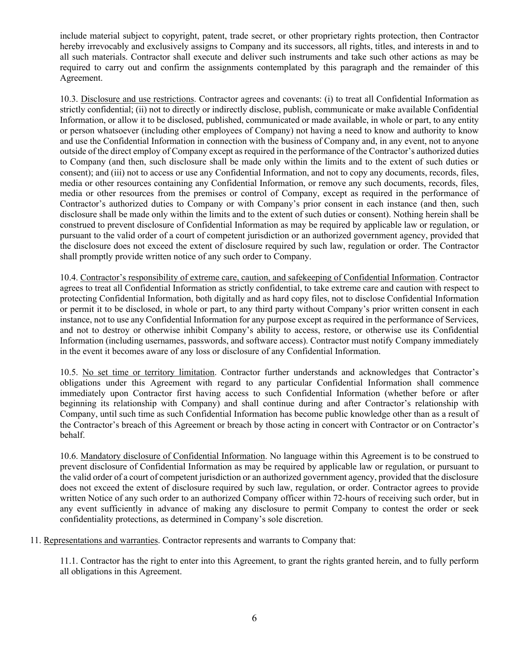include material subject to copyright, patent, trade secret, or other proprietary rights protection, then Contractor hereby irrevocably and exclusively assigns to Company and its successors, all rights, titles, and interests in and to all such materials. Contractor shall execute and deliver such instruments and take such other actions as may be required to carry out and confirm the assignments contemplated by this paragraph and the remainder of this Agreement.

10.3. Disclosure and use restrictions. Contractor agrees and covenants: (i) to treat all Confidential Information as strictly confidential; (ii) not to directly or indirectly disclose, publish, communicate or make available Confidential Information, or allow it to be disclosed, published, communicated or made available, in whole or part, to any entity or person whatsoever (including other employees of Company) not having a need to know and authority to know and use the Confidential Information in connection with the business of Company and, in any event, not to anyone outside of the direct employ of Company except as required in the performance of the Contractor's authorized duties to Company (and then, such disclosure shall be made only within the limits and to the extent of such duties or consent); and (iii) not to access or use any Confidential Information, and not to copy any documents, records, files, media or other resources containing any Confidential Information, or remove any such documents, records, files, media or other resources from the premises or control of Company, except as required in the performance of Contractor's authorized duties to Company or with Company's prior consent in each instance (and then, such disclosure shall be made only within the limits and to the extent of such duties or consent). Nothing herein shall be construed to prevent disclosure of Confidential Information as may be required by applicable law or regulation, or pursuant to the valid order of a court of competent jurisdiction or an authorized government agency, provided that the disclosure does not exceed the extent of disclosure required by such law, regulation or order. The Contractor shall promptly provide written notice of any such order to Company.

10.4. Contractor's responsibility of extreme care, caution, and safekeeping of Confidential Information. Contractor agrees to treat all Confidential Information as strictly confidential, to take extreme care and caution with respect to protecting Confidential Information, both digitally and as hard copy files, not to disclose Confidential Information or permit it to be disclosed, in whole or part, to any third party without Company's prior written consent in each instance, not to use any Confidential Information for any purpose except as required in the performance of Services, and not to destroy or otherwise inhibit Company's ability to access, restore, or otherwise use its Confidential Information (including usernames, passwords, and software access). Contractor must notify Company immediately in the event it becomes aware of any loss or disclosure of any Confidential Information.

10.5. No set time or territory limitation. Contractor further understands and acknowledges that Contractor's obligations under this Agreement with regard to any particular Confidential Information shall commence immediately upon Contractor first having access to such Confidential Information (whether before or after beginning its relationship with Company) and shall continue during and after Contractor's relationship with Company, until such time as such Confidential Information has become public knowledge other than as a result of the Contractor's breach of this Agreement or breach by those acting in concert with Contractor or on Contractor's behalf.

10.6. Mandatory disclosure of Confidential Information. No language within this Agreement is to be construed to prevent disclosure of Confidential Information as may be required by applicable law or regulation, or pursuant to the valid order of a court of competent jurisdiction or an authorized government agency, provided that the disclosure does not exceed the extent of disclosure required by such law, regulation, or order. Contractor agrees to provide written Notice of any such order to an authorized Company officer within 72-hours of receiving such order, but in any event sufficiently in advance of making any disclosure to permit Company to contest the order or seek confidentiality protections, as determined in Company's sole discretion.

11. Representations and warranties. Contractor represents and warrants to Company that:

11.1. Contractor has the right to enter into this Agreement, to grant the rights granted herein, and to fully perform all obligations in this Agreement.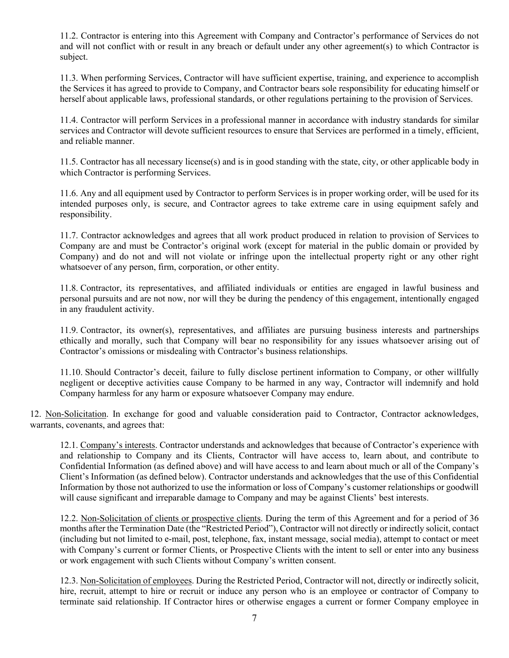11.2. Contractor is entering into this Agreement with Company and Contractor's performance of Services do not and will not conflict with or result in any breach or default under any other agreement(s) to which Contractor is subject.

11.3. When performing Services, Contractor will have sufficient expertise, training, and experience to accomplish the Services it has agreed to provide to Company, and Contractor bears sole responsibility for educating himself or herself about applicable laws, professional standards, or other regulations pertaining to the provision of Services.

11.4. Contractor will perform Services in a professional manner in accordance with industry standards for similar services and Contractor will devote sufficient resources to ensure that Services are performed in a timely, efficient, and reliable manner.

11.5. Contractor has all necessary license(s) and is in good standing with the state, city, or other applicable body in which Contractor is performing Services.

11.6. Any and all equipment used by Contractor to perform Services is in proper working order, will be used for its intended purposes only, is secure, and Contractor agrees to take extreme care in using equipment safely and responsibility.

11.7. Contractor acknowledges and agrees that all work product produced in relation to provision of Services to Company are and must be Contractor's original work (except for material in the public domain or provided by Company) and do not and will not violate or infringe upon the intellectual property right or any other right whatsoever of any person, firm, corporation, or other entity.

11.8. Contractor, its representatives, and affiliated individuals or entities are engaged in lawful business and personal pursuits and are not now, nor will they be during the pendency of this engagement, intentionally engaged in any fraudulent activity.

11.9. Contractor, its owner(s), representatives, and affiliates are pursuing business interests and partnerships ethically and morally, such that Company will bear no responsibility for any issues whatsoever arising out of Contractor's omissions or misdealing with Contractor's business relationships.

11.10. Should Contractor's deceit, failure to fully disclose pertinent information to Company, or other willfully negligent or deceptive activities cause Company to be harmed in any way, Contractor will indemnify and hold Company harmless for any harm or exposure whatsoever Company may endure.

12. Non-Solicitation. In exchange for good and valuable consideration paid to Contractor, Contractor acknowledges, warrants, covenants, and agrees that:

12.1. Company's interests. Contractor understands and acknowledges that because of Contractor's experience with and relationship to Company and its Clients, Contractor will have access to, learn about, and contribute to Confidential Information (as defined above) and will have access to and learn about much or all of the Company's Client's Information (as defined below). Contractor understands and acknowledges that the use of this Confidential Information by those not authorized to use the information or loss of Company's customer relationships or goodwill will cause significant and irreparable damage to Company and may be against Clients' best interests.

12.2. Non-Solicitation of clients or prospective clients. During the term of this Agreement and for a period of 36 months after the Termination Date (the "Restricted Period"), Contractor will not directly or indirectly solicit, contact (including but not limited to e-mail, post, telephone, fax, instant message, social media), attempt to contact or meet with Company's current or former Clients, or Prospective Clients with the intent to sell or enter into any business or work engagement with such Clients without Company's written consent.

12.3. Non-Solicitation of employees. During the Restricted Period, Contractor will not, directly or indirectly solicit, hire, recruit, attempt to hire or recruit or induce any person who is an employee or contractor of Company to terminate said relationship. If Contractor hires or otherwise engages a current or former Company employee in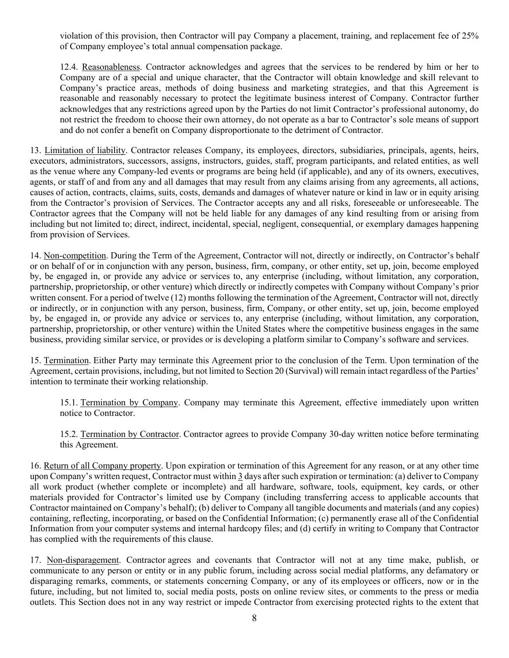violation of this provision, then Contractor will pay Company a placement, training, and replacement fee of 25% of Company employee's total annual compensation package.

12.4. Reasonableness. Contractor acknowledges and agrees that the services to be rendered by him or her to Company are of a special and unique character, that the Contractor will obtain knowledge and skill relevant to Company's practice areas, methods of doing business and marketing strategies, and that this Agreement is reasonable and reasonably necessary to protect the legitimate business interest of Company. Contractor further acknowledges that any restrictions agreed upon by the Parties do not limit Contractor's professional autonomy, do not restrict the freedom to choose their own attorney, do not operate as a bar to Contractor's sole means of support and do not confer a benefit on Company disproportionate to the detriment of Contractor.

13. Limitation of liability. Contractor releases Company, its employees, directors, subsidiaries, principals, agents, heirs, executors, administrators, successors, assigns, instructors, guides, staff, program participants, and related entities, as well as the venue where any Company-led events or programs are being held (if applicable), and any of its owners, executives, agents, or staff of and from any and all damages that may result from any claims arising from any agreements, all actions, causes of action, contracts, claims, suits, costs, demands and damages of whatever nature or kind in law or in equity arising from the Contractor's provision of Services. The Contractor accepts any and all risks, foreseeable or unforeseeable. The Contractor agrees that the Company will not be held liable for any damages of any kind resulting from or arising from including but not limited to; direct, indirect, incidental, special, negligent, consequential, or exemplary damages happening from provision of Services.

14. Non-competition. During the Term of the Agreement, Contractor will not, directly or indirectly, on Contractor's behalf or on behalf of or in conjunction with any person, business, firm, company, or other entity, set up, join, become employed by, be engaged in, or provide any advice or services to, any enterprise (including, without limitation, any corporation, partnership, proprietorship, or other venture) which directly or indirectly competes with Company without Company's prior written consent. For a period of twelve (12) months following the termination of the Agreement, Contractor will not, directly or indirectly, or in conjunction with any person, business, firm, Company, or other entity, set up, join, become employed by, be engaged in, or provide any advice or services to, any enterprise (including, without limitation, any corporation, partnership, proprietorship, or other venture) within the United States where the competitive business engages in the same business, providing similar service, or provides or is developing a platform similar to Company's software and services.

15. Termination. Either Party may terminate this Agreement prior to the conclusion of the Term. Upon termination of the Agreement, certain provisions, including, but not limited to Section 20 (Survival) will remain intact regardless of the Parties' intention to terminate their working relationship.

15.1. Termination by Company. Company may terminate this Agreement, effective immediately upon written notice to Contractor.

15.2. Termination by Contractor. Contractor agrees to provide Company 30-day written notice before terminating this Agreement.

16. Return of all Company property. Upon expiration or termination of this Agreement for any reason, or at any other time upon Company's written request, Contractor must within 3 days after such expiration or termination: (a) deliver to Company all work product (whether complete or incomplete) and all hardware, software, tools, equipment, key cards, or other materials provided for Contractor's limited use by Company (including transferring access to applicable accounts that Contractor maintained on Company's behalf); (b) deliver to Company all tangible documents and materials (and any copies) containing, reflecting, incorporating, or based on the Confidential Information; (c) permanently erase all of the Confidential Information from your computer systems and internal hardcopy files; and (d) certify in writing to Company that Contractor has complied with the requirements of this clause.

17. Non-disparagement. Contractor agrees and covenants that Contractor will not at any time make, publish, or communicate to any person or entity or in any public forum, including across social medial platforms, any defamatory or disparaging remarks, comments, or statements concerning Company, or any of its employees or officers, now or in the future, including, but not limited to, social media posts, posts on online review sites, or comments to the press or media outlets. This Section does not in any way restrict or impede Contractor from exercising protected rights to the extent that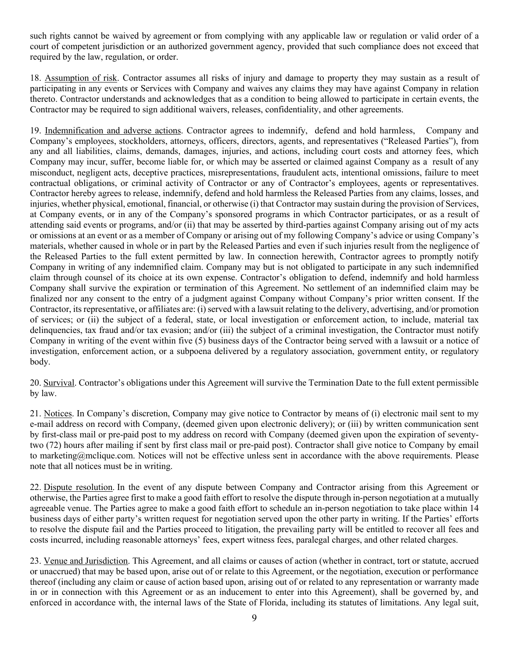such rights cannot be waived by agreement or from complying with any applicable law or regulation or valid order of a court of competent jurisdiction or an authorized government agency, provided that such compliance does not exceed that required by the law, regulation, or order.

18. Assumption of risk. Contractor assumes all risks of injury and damage to property they may sustain as a result of participating in any events or Services with Company and waives any claims they may have against Company in relation thereto. Contractor understands and acknowledges that as a condition to being allowed to participate in certain events, the Contractor may be required to sign additional waivers, releases, confidentiality, and other agreements.

19. Indemnification and adverse actions. Contractor agrees to indemnify, defend and hold harmless, Company and Company's employees, stockholders, attorneys, officers, directors, agents, and representatives ("Released Parties"), from any and all liabilities, claims, demands, damages, injuries, and actions, including court costs and attorney fees, which Company may incur, suffer, become liable for, or which may be asserted or claimed against Company as a result of any misconduct, negligent acts, deceptive practices, misrepresentations, fraudulent acts, intentional omissions, failure to meet contractual obligations, or criminal activity of Contractor or any of Contractor's employees, agents or representatives. Contractor hereby agrees to release, indemnify, defend and hold harmless the Released Parties from any claims, losses, and injuries, whether physical, emotional, financial, or otherwise (i) that Contractor may sustain during the provision of Services, at Company events, or in any of the Company's sponsored programs in which Contractor participates, or as a result of attending said events or programs, and/or (ii) that may be asserted by third-parties against Company arising out of my acts or omissions at an event or as a member of Company or arising out of my following Company's advice or using Company's materials, whether caused in whole or in part by the Released Parties and even if such injuries result from the negligence of the Released Parties to the full extent permitted by law. In connection herewith, Contractor agrees to promptly notify Company in writing of any indemnified claim. Company may but is not obligated to participate in any such indemnified claim through counsel of its choice at its own expense. Contractor's obligation to defend, indemnify and hold harmless Company shall survive the expiration or termination of this Agreement. No settlement of an indemnified claim may be finalized nor any consent to the entry of a judgment against Company without Company's prior written consent. If the Contractor, its representative, or affiliates are: (i) served with a lawsuit relating to the delivery, advertising, and/or promotion of services; or (ii) the subject of a federal, state, or local investigation or enforcement action, to include, material tax delinquencies, tax fraud and/or tax evasion; and/or (iii) the subject of a criminal investigation, the Contractor must notify Company in writing of the event within five (5) business days of the Contractor being served with a lawsuit or a notice of investigation, enforcement action, or a subpoena delivered by a regulatory association, government entity, or regulatory body.

20. Survival. Contractor's obligations under this Agreement will survive the Termination Date to the full extent permissible by law.

21. Notices. In Company's discretion, Company may give notice to Contractor by means of (i) electronic mail sent to my e-mail address on record with Company, (deemed given upon electronic delivery); or (iii) by written communication sent by first-class mail or pre-paid post to my address on record with Company (deemed given upon the expiration of seventytwo (72) hours after mailing if sent by first class mail or pre-paid post). Contractor shall give notice to Company by email to marketing@mclique.com. Notices will not be effective unless sent in accordance with the above requirements. Please note that all notices must be in writing.

22. Dispute resolution. In the event of any dispute between Company and Contractor arising from this Agreement or otherwise, the Parties agree first to make a good faith effort to resolve the dispute through in-person negotiation at a mutually agreeable venue. The Parties agree to make a good faith effort to schedule an in-person negotiation to take place within 14 business days of either party's written request for negotiation served upon the other party in writing. If the Parties' efforts to resolve the dispute fail and the Parties proceed to litigation, the prevailing party will be entitled to recover all fees and costs incurred, including reasonable attorneys' fees, expert witness fees, paralegal charges, and other related charges.

23. Venue and Jurisdiction. This Agreement, and all claims or causes of action (whether in contract, tort or statute, accrued or unaccrued) that may be based upon, arise out of or relate to this Agreement, or the negotiation, execution or performance thereof (including any claim or cause of action based upon, arising out of or related to any representation or warranty made in or in connection with this Agreement or as an inducement to enter into this Agreement), shall be governed by, and enforced in accordance with, the internal laws of the State of Florida, including its statutes of limitations. Any legal suit,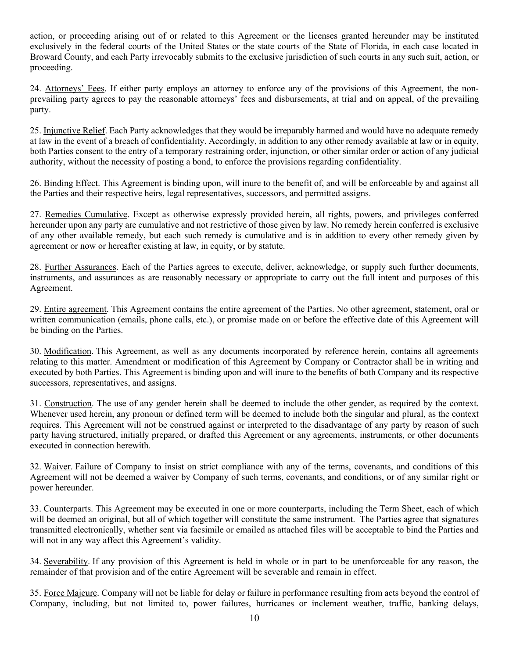action, or proceeding arising out of or related to this Agreement or the licenses granted hereunder may be instituted exclusively in the federal courts of the United States or the state courts of the State of Florida, in each case located in Broward County, and each Party irrevocably submits to the exclusive jurisdiction of such courts in any such suit, action, or proceeding.

24. Attorneys' Fees. If either party employs an attorney to enforce any of the provisions of this Agreement, the nonprevailing party agrees to pay the reasonable attorneys' fees and disbursements, at trial and on appeal, of the prevailing party.

25. Injunctive Relief. Each Party acknowledges that they would be irreparably harmed and would have no adequate remedy at law in the event of a breach of confidentiality. Accordingly, in addition to any other remedy available at law or in equity, both Parties consent to the entry of a temporary restraining order, injunction, or other similar order or action of any judicial authority, without the necessity of posting a bond, to enforce the provisions regarding confidentiality.

26. Binding Effect. This Agreement is binding upon, will inure to the benefit of, and will be enforceable by and against all the Parties and their respective heirs, legal representatives, successors, and permitted assigns.

27. Remedies Cumulative. Except as otherwise expressly provided herein, all rights, powers, and privileges conferred hereunder upon any party are cumulative and not restrictive of those given by law. No remedy herein conferred is exclusive of any other available remedy, but each such remedy is cumulative and is in addition to every other remedy given by agreement or now or hereafter existing at law, in equity, or by statute.

28. Further Assurances. Each of the Parties agrees to execute, deliver, acknowledge, or supply such further documents, instruments, and assurances as are reasonably necessary or appropriate to carry out the full intent and purposes of this Agreement.

29. Entire agreement. This Agreement contains the entire agreement of the Parties. No other agreement, statement, oral or written communication (emails, phone calls, etc.), or promise made on or before the effective date of this Agreement will be binding on the Parties.

30. Modification. This Agreement, as well as any documents incorporated by reference herein, contains all agreements relating to this matter. Amendment or modification of this Agreement by Company or Contractor shall be in writing and executed by both Parties. This Agreement is binding upon and will inure to the benefits of both Company and its respective successors, representatives, and assigns.

31. Construction. The use of any gender herein shall be deemed to include the other gender, as required by the context. Whenever used herein, any pronoun or defined term will be deemed to include both the singular and plural, as the context requires. This Agreement will not be construed against or interpreted to the disadvantage of any party by reason of such party having structured, initially prepared, or drafted this Agreement or any agreements, instruments, or other documents executed in connection herewith.

32. Waiver. Failure of Company to insist on strict compliance with any of the terms, covenants, and conditions of this Agreement will not be deemed a waiver by Company of such terms, covenants, and conditions, or of any similar right or power hereunder.

33. Counterparts. This Agreement may be executed in one or more counterparts, including the Term Sheet, each of which will be deemed an original, but all of which together will constitute the same instrument. The Parties agree that signatures transmitted electronically, whether sent via facsimile or emailed as attached files will be acceptable to bind the Parties and will not in any way affect this Agreement's validity.

34. Severability. If any provision of this Agreement is held in whole or in part to be unenforceable for any reason, the remainder of that provision and of the entire Agreement will be severable and remain in effect.

35. Force Majeure. Company will not be liable for delay or failure in performance resulting from acts beyond the control of Company, including, but not limited to, power failures, hurricanes or inclement weather, traffic, banking delays,